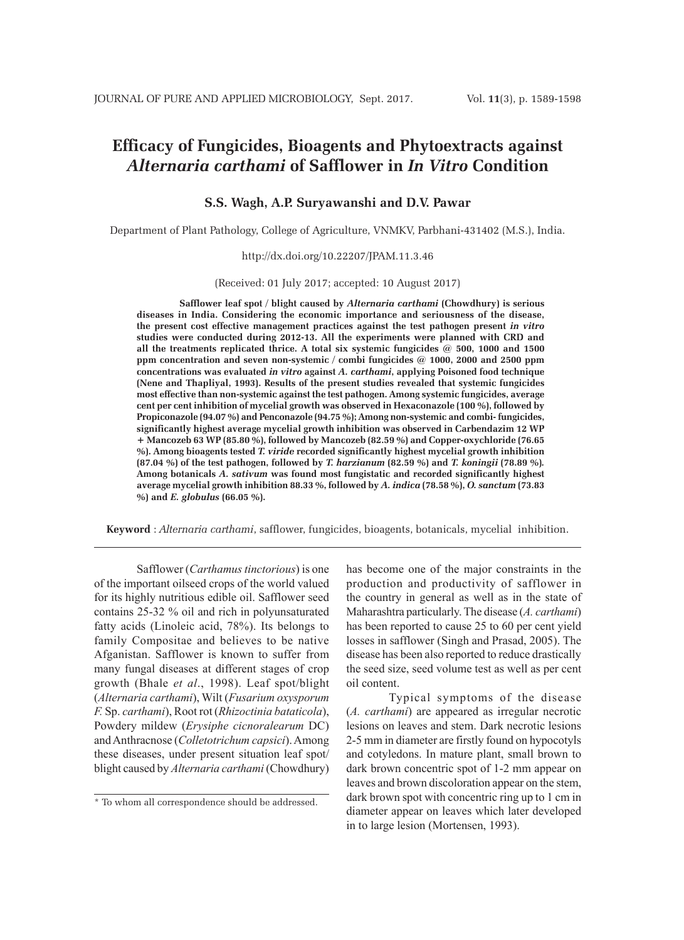# **Efficacy of Fungicides, Bioagents and Phytoextracts against**  *Alternaria carthami* **of Safflower in** *In Vitro* **Condition**

# **S.S. Wagh, A.P. Suryawanshi and D.V. Pawar**

Department of Plant Pathology, College of Agriculture, VNMKV, Parbhani-431402 (M.S.), India.

#### http://dx.doi.org/10.22207/JPAM.11.3.46

(Received: 01 July 2017; accepted: 10 August 2017)

**Safflower leaf spot / blight caused by** *Alternaria carthami* **(Chowdhury) is serious diseases in India. Considering the economic importance and seriousness of the disease, the present cost effective management practices against the test pathogen present** *in vitro* **studies were conducted during 2012-13. All the experiments were planned with CRD and all the treatments replicated thrice. A total six systemic fungicides @ 500, 1000 and 1500 ppm concentration and seven non-systemic / combi fungicides @ 1000, 2000 and 2500 ppm concentrations was evaluated** *in vitro* **against** *A. carthami***, applying Poisoned food technique (Nene and Thapliyal, 1993). Results of the present studies revealed that systemic fungicides most effective than non-systemic against the test pathogen. Among systemic fungicides, average cent per cent inhibition of mycelial growth was observed in Hexaconazole (100 %), followed by Propiconazole (94.07 %) and Penconazole (94.75 %); Among non-systemic and combi- fungicides, significantly highest average mycelial growth inhibition was observed in Carbendazim 12 WP + Mancozeb 63 WP (85.80 %), followed by Mancozeb (82.59 %) and Copper-oxychloride (76.65 %). Among bioagents tested** *T. viride* **recorded significantly highest mycelial growth inhibition (87.04 %) of the test pathogen, followed by** *T. harzianum* **(82.59 %) and** *T. koningii* **(78.89 %)***.*  **Among botanicals** *A. sativum* **was found most fungistatic and recorded significantly highest average mycelial growth inhibition 88.33 %, followed by** *A. indica* **(78.58 %),** *O. sanctum* **(73.83 %) and** *E. globulus* **(66.05 %).**

**Keyword** : *Alternaria carthami*, safflower, fungicides, bioagents, botanicals, mycelial inhibition.

Safflower (*Carthamus tinctorious*) is one of the important oilseed crops of the world valued for its highly nutritious edible oil. Safflower seed contains 25-32 % oil and rich in polyunsaturated fatty acids (Linoleic acid, 78%). Its belongs to family Compositae and believes to be native Afganistan. Safflower is known to suffer from many fungal diseases at different stages of crop growth (Bhale *et al*., 1998). Leaf spot/blight (*Alternaria carthami*), Wilt (*Fusarium oxysporum F.* Sp. *carthami*), Root rot (*Rhizoctinia bataticola*), Powdery mildew (*Erysiphe cicnoralearum* DC) and Anthracnose (*Colletotrichum capsici*). Among these diseases, under present situation leaf spot/ blight caused by *Alternaria carthami* (Chowdhury)

has become one of the major constraints in the production and productivity of safflower in the country in general as well as in the state of Maharashtra particularly. The disease (*A. carthami*) has been reported to cause 25 to 60 per cent yield losses in safflower (Singh and Prasad, 2005). The disease has been also reported to reduce drastically the seed size, seed volume test as well as per cent oil content.

Typical symptoms of the disease (*A. carthami*) are appeared as irregular necrotic lesions on leaves and stem. Dark necrotic lesions 2-5 mm in diameter are firstly found on hypocotyls and cotyledons. In mature plant, small brown to dark brown concentric spot of 1-2 mm appear on leaves and brown discoloration appear on the stem, dark brown spot with concentric ring up to 1 cm in diameter appear on leaves which later developed in to large lesion (Mortensen, 1993).

<sup>\*</sup> To whom all correspondence should be addressed.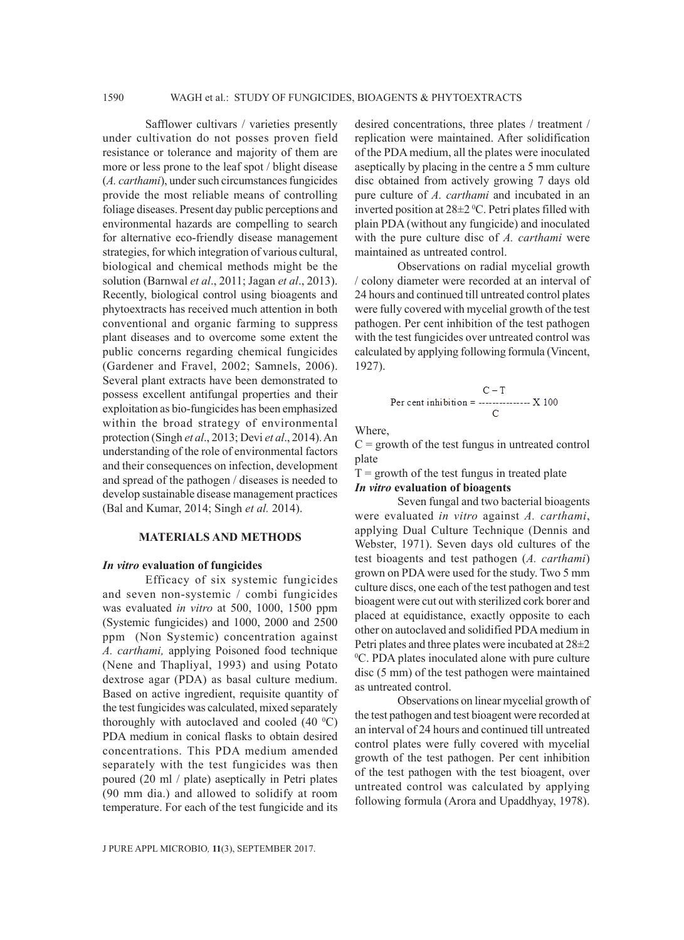Safflower cultivars / varieties presently under cultivation do not posses proven field resistance or tolerance and majority of them are more or less prone to the leaf spot / blight disease (*A. carthami*), under such circumstances fungicides provide the most reliable means of controlling foliage diseases. Present day public perceptions and environmental hazards are compelling to search for alternative eco-friendly disease management strategies, for which integration of various cultural, biological and chemical methods might be the solution (Barnwal *et al*., 2011; Jagan *et al*., 2013). Recently, biological control using bioagents and phytoextracts has received much attention in both conventional and organic farming to suppress plant diseases and to overcome some extent the public concerns regarding chemical fungicides (Gardener and Fravel, 2002; Samnels, 2006). Several plant extracts have been demonstrated to possess excellent antifungal properties and their exploitation as bio-fungicides has been emphasized within the broad strategy of environmental protection (Singh *et al*., 2013; Devi *et al*., 2014). An understanding of the role of environmental factors and their consequences on infection, development and spread of the pathogen / diseases is needed to develop sustainable disease management practices (Bal and Kumar, 2014; Singh *et al.* 2014).

#### **MATERIALS AND METHODS**

#### *In vitro* **evaluation of fungicides**

Efficacy of six systemic fungicides and seven non-systemic / combi fungicides was evaluated *in vitro* at 500, 1000, 1500 ppm (Systemic fungicides) and 1000, 2000 and 2500 ppm (Non Systemic) concentration against *A. carthami,* applying Poisoned food technique (Nene and Thapliyal, 1993) and using Potato dextrose agar (PDA) as basal culture medium. Based on active ingredient, requisite quantity of the test fungicides was calculated, mixed separately thoroughly with autoclaved and cooled  $(40 \degree C)$ PDA medium in conical flasks to obtain desired concentrations. This PDA medium amended separately with the test fungicides was then poured (20 ml / plate) aseptically in Petri plates (90 mm dia.) and allowed to solidify at room temperature. For each of the test fungicide and its

desired concentrations, three plates / treatment / replication were maintained. After solidification of the PDA medium, all the plates were inoculated aseptically by placing in the centre a 5 mm culture disc obtained from actively growing 7 days old pure culture of *A. carthami* and incubated in an inverted position at  $28\pm2$  °C. Petri plates filled with plain PDA (without any fungicide) and inoculated with the pure culture disc of *A. carthami* were maintained as untreated control.

Observations on radial mycelial growth / colony diameter were recorded at an interval of 24 hours and continued till untreated control plates were fully covered with mycelial growth of the test pathogen. Per cent inhibition of the test pathogen with the test fungicides over untreated control was calculated by applying following formula (Vincent, 1927).

$$
C-T
$$
Per cent inhibition = 100

Where,

 $C =$  growth of the test fungus in untreated control plate

 $T =$  growth of the test fungus in treated plate *In vitro* **evaluation of bioagents**

Seven fungal and two bacterial bioagents were evaluated *in vitro* against *A. carthami*, applying Dual Culture Technique (Dennis and Webster, 1971). Seven days old cultures of the test bioagents and test pathogen (*A. carthami*) grown on PDA were used for the study. Two 5 mm culture discs, one each of the test pathogen and test bioagent were cut out with sterilized cork borer and placed at equidistance, exactly opposite to each other on autoclaved and solidified PDA medium in Petri plates and three plates were incubated at 28±2 0 C. PDA plates inoculated alone with pure culture disc (5 mm) of the test pathogen were maintained as untreated control.

Observations on linear mycelial growth of the test pathogen and test bioagent were recorded at an interval of 24 hours and continued till untreated control plates were fully covered with mycelial growth of the test pathogen. Per cent inhibition of the test pathogen with the test bioagent, over untreated control was calculated by applying following formula (Arora and Upaddhyay, 1978).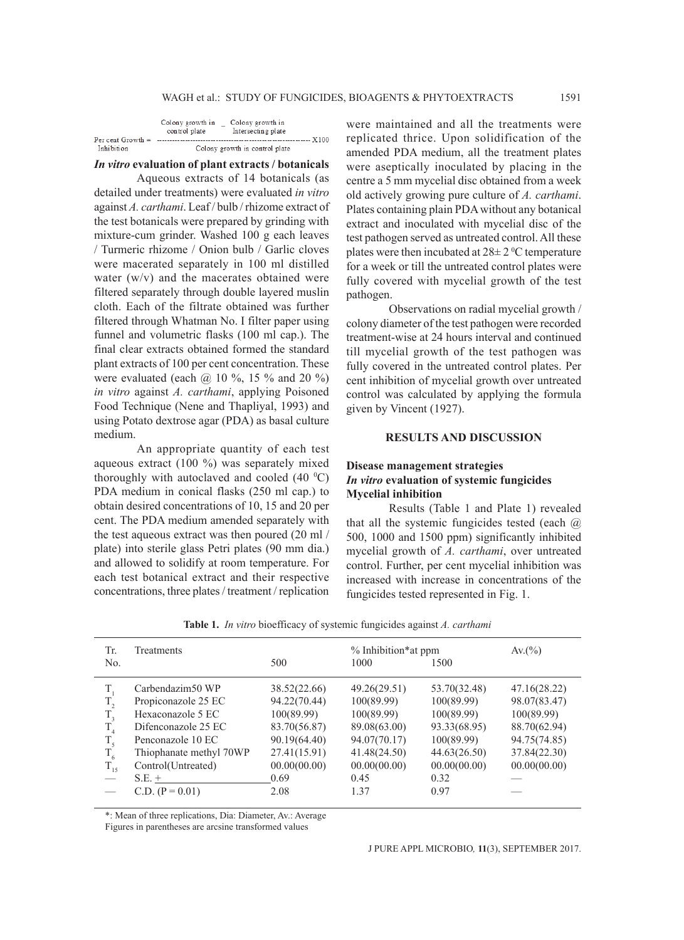|                     | Colony growth in<br>control plate | Colony growth in<br>Intersecting plate |        |  |  |
|---------------------|-----------------------------------|----------------------------------------|--------|--|--|
| Per cent Growth $=$ |                                   |                                        | - X100 |  |  |
| Inhibition          | Colony growth in control plate.   |                                        |        |  |  |

### *In vitro* **evaluation of plant extracts / botanicals**

Aqueous extracts of 14 botanicals (as detailed under treatments) were evaluated *in vitro*  against *A. carthami*. Leaf / bulb / rhizome extract of the test botanicals were prepared by grinding with mixture-cum grinder. Washed 100 g each leaves / Turmeric rhizome / Onion bulb / Garlic cloves were macerated separately in 100 ml distilled water (w/v) and the macerates obtained were filtered separately through double layered muslin cloth. Each of the filtrate obtained was further filtered through Whatman No. I filter paper using funnel and volumetric flasks (100 ml cap.). The final clear extracts obtained formed the standard plant extracts of 100 per cent concentration. These were evaluated (each  $\omega$  10 %, 15 % and 20 %) *in vitro* against *A. carthami*, applying Poisoned Food Technique (Nene and Thapliyal, 1993) and using Potato dextrose agar (PDA) as basal culture medium.

An appropriate quantity of each test aqueous extract (100 %) was separately mixed thoroughly with autoclaved and cooled  $(40 \degree C)$ PDA medium in conical flasks (250 ml cap.) to obtain desired concentrations of 10, 15 and 20 per cent. The PDA medium amended separately with the test aqueous extract was then poured (20 ml / plate) into sterile glass Petri plates (90 mm dia.) and allowed to solidify at room temperature. For each test botanical extract and their respective concentrations, three plates / treatment / replication

were maintained and all the treatments were replicated thrice. Upon solidification of the amended PDA medium, all the treatment plates were aseptically inoculated by placing in the centre a 5 mm mycelial disc obtained from a week old actively growing pure culture of *A. carthami*. Plates containing plain PDA without any botanical extract and inoculated with mycelial disc of the test pathogen served as untreated control. All these plates were then incubated at  $28 \pm 2$  °C temperature for a week or till the untreated control plates were fully covered with mycelial growth of the test pathogen.

Observations on radial mycelial growth / colony diameter of the test pathogen were recorded treatment-wise at 24 hours interval and continued till mycelial growth of the test pathogen was fully covered in the untreated control plates. Per cent inhibition of mycelial growth over untreated control was calculated by applying the formula given by Vincent (1927).

# **RESULTS AND DISCUSSION**

## **Disease management strategies** *In vitro* **evaluation of systemic fungicides Mycelial inhibition**

Results (Table 1 and Plate 1) revealed that all the systemic fungicides tested (each @ 500, 1000 and 1500 ppm) significantly inhibited mycelial growth of *A. carthami*, over untreated control. Further, per cent mycelial inhibition was increased with increase in concentrations of the fungicides tested represented in Fig. 1.

| Tr.            | Treatments              |              | % Inhibition*at ppm |              |              |
|----------------|-------------------------|--------------|---------------------|--------------|--------------|
| N <sub>o</sub> |                         | 500          | 1000                | 1500         |              |
| Τ,             | Carbendazim50 WP        | 38.52(22.66) | 49.26(29.51)        | 53.70(32.48) | 47.16(28.22) |
| $T_{2}$        | Propiconazole 25 EC     | 94.22(70.44) | 100(89.99)          | 100(89.99)   | 98.07(83.47) |
| $T_{3}$        | Hexaconazole 5 EC       | 100(89.99)   | 100(89.99)          | 100(89.99)   | 100(89.99)   |
| T <sub>4</sub> | Difenconazole 25 EC     | 83.70(56.87) | 89.08(63.00)        | 93.33(68.95) | 88.70(62.94) |
| $T_{\rm s}$    | Penconazole 10 EC       | 90.19(64.40) | 94.07(70.17)        | 100(89.99)   | 94.75(74.85) |
| $T_{6}$        | Thiophanate methyl 70WP | 27.41(15.91) | 41.48(24.50)        | 44.63(26.50) | 37.84(22.30) |
| $T_{15}$       | Control(Untreated)      | 00.00(00.00) | 00.00(00.00)        | 00.00(00.00) | 00.00(00.00) |
|                | $S.E. +$                | 0.69         | 0.45                | 0.32         |              |
|                | $C.D. (P = 0.01)$       | 2.08         | 1.37                | 0.97         |              |

**Table 1.** *In vitro* bioefficacy of systemic fungicides against *A. carthami*

\*: Mean of three replications, Dia: Diameter, Av.: Average

Figures in parentheses are arcsine transformed values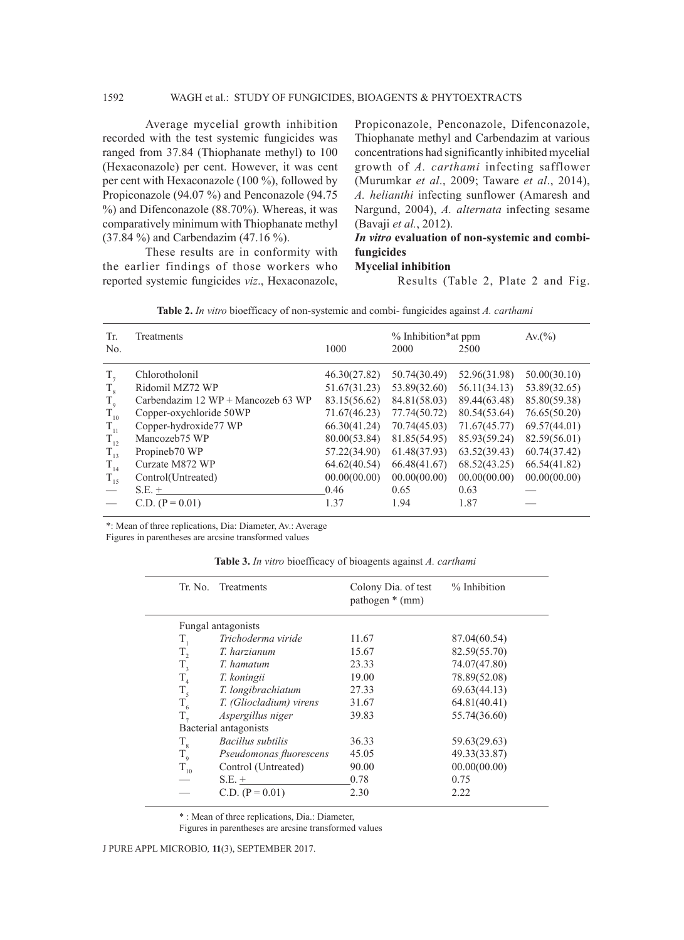## 1592 WAGH et al.: STUDY OF FUNGICIDES, BIOAGENTS & PHYTOEXTRACTS

Average mycelial growth inhibition recorded with the test systemic fungicides was ranged from 37.84 (Thiophanate methyl) to 100 (Hexaconazole) per cent. However, it was cent per cent with Hexaconazole (100 %), followed by Propiconazole (94.07 %) and Penconazole (94.75 %) and Difenconazole (88.70%). Whereas, it was comparatively minimum with Thiophanate methyl (37.84 %) and Carbendazim (47.16 %).

These results are in conformity with the earlier findings of those workers who reported systemic fungicides *viz*., Hexaconazole, Propiconazole, Penconazole, Difenconazole, Thiophanate methyl and Carbendazim at various concentrations had significantly inhibited mycelial growth of *A. carthami* infecting safflower (Murumkar *et al*., 2009; Taware *et al*., 2014), *A. helianthi* infecting sunflower (Amaresh and Nargund, 2004), *A. alternata* infecting sesame (Bavaji *et al.*, 2012).

# *In vitro* **evaluation of non-systemic and combifungicides**

## **Mycelial inhibition**

Results (Table 2, Plate 2 and Fig.

| Tr.         | Treatments                                  |              | % Inhibition* at ppm |              | Av.(%)       |
|-------------|---------------------------------------------|--------------|----------------------|--------------|--------------|
| No.         |                                             | 1000         | 2000                 | 2500         |              |
| $T_{7}$     | Chlorotholonil                              | 46.30(27.82) | 50.74(30.49)         | 52.96(31.98) | 50.00(30.10) |
| $T_{8}$     | Ridomil MZ72 WP                             | 51.67(31.23) | 53.89(32.60)         | 56.11(34.13) | 53.89(32.65) |
| $T_{\rm q}$ | Carbendazim $12 WP + \text{Mancozeb} 63 WP$ | 83.15(56.62) | 84.81(58.03)         | 89.44(63.48) | 85.80(59.38) |
| $T_{10}$    | Copper-oxychloride 50WP                     | 71.67(46.23) | 77.74(50.72)         | 80.54(53.64) | 76.65(50.20) |
| $T_{11}$    | Copper-hydroxide77 WP                       | 66.30(41.24) | 70.74(45.03)         | 71.67(45.77) | 69.57(44.01) |
| $T_{12}$    | Mancozeb75 WP                               | 80.00(53.84) | 81.85(54.95)         | 85.93(59.24) | 82.59(56.01) |
| $T_{13}$    | Propineb70 WP                               | 57.22(34.90) | 61.48(37.93)         | 63.52(39.43) | 60.74(37.42) |
| $T_{14}$    | Curzate M872 WP                             | 64.62(40.54) | 66.48(41.67)         | 68.52(43.25) | 66.54(41.82) |
| $T_{15}$    | Control(Untreated)                          | 00.00(00.00) | 00.00(00.00)         | 00.00(00.00) | 00.00(00.00) |
|             | $S.E. +$                                    | 0.46         | 0.65                 | 0.63         |              |
|             | $C.D. (P = 0.01)$                           | 1.37         | 1.94                 | 1.87         |              |

**Table 2.** *In vitro* bioefficacy of non-systemic and combi- fungicides against *A. carthami*

\*: Mean of three replications, Dia: Diameter, Av.: Average

Figures in parentheses are arcsine transformed values

**Table 3.** *In vitro* bioefficacy of bioagents against *A. carthami*

| Tr. No.      | Treatments              | Colony Dia. of test<br>pathogen * (mm) | % Inhibition |
|--------------|-------------------------|----------------------------------------|--------------|
|              | Fungal antagonists      |                                        |              |
| $T_{1}$      | Trichoderma viride      | 11.67                                  | 87.04(60.54) |
| $\rm T_{_2}$ | T. harzianum            | 15.67                                  | 82.59(55.70) |
| $T_{3}$      | T. hamatum              | 23.33                                  | 74.07(47.80) |
| $T_{4}$      | T. koningii             | 19.00                                  | 78.89(52.08) |
| $T_{\rm s}$  | T. longibrachiatum      | 27.33                                  | 69.63(44.13) |
| $T_{6}$      | T. (Gliocladium) virens | 31.67                                  | 64.81(40.41) |
| $T_{7}$      | Aspergillus niger       | 39.83                                  | 55.74(36.60) |
|              | Bacterial antagonists   |                                        |              |
| $T_{\rm g}$  | Bacillus subtilis       | 36.33                                  | 59.63(29.63) |
| $T_{\rm q}$  | Pseudomonas fluorescens | 45.05                                  | 49.33(33.87) |
| $T_{10}$     | Control (Untreated)     | 90.00                                  | 00.00(00.00) |
|              | $S.E. +$                | 0.78                                   | 0.75         |
|              | $C.D. (P = 0.01)$       | 2.30                                   | 2.22         |
|              |                         |                                        |              |

\* : Mean of three replications, Dia.: Diameter,

Figures in parentheses are arcsine transformed values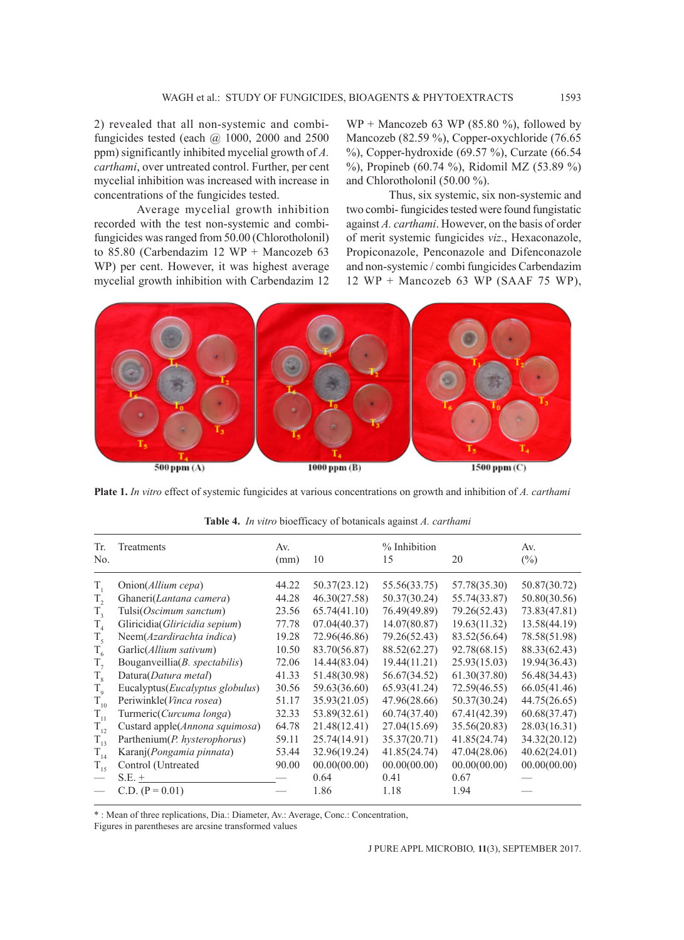2) revealed that all non-systemic and combifungicides tested (each  $\omega$  1000, 2000 and 2500 ppm) significantly inhibited mycelial growth of *A. carthami*, over untreated control. Further, per cent mycelial inhibition was increased with increase in concentrations of the fungicides tested.

Average mycelial growth inhibition recorded with the test non-systemic and combifungicides was ranged from 50.00 (Chlorotholonil) to 85.80 (Carbendazim 12 WP + Mancozeb 63 WP) per cent. However, it was highest average mycelial growth inhibition with Carbendazim 12  $WP + Mancozeb 63 WP (85.80 %)$ , followed by Mancozeb (82.59 %), Copper-oxychloride (76.65 %), Copper-hydroxide (69.57 %), Curzate (66.54 %), Propineb (60.74 %), Ridomil MZ (53.89 %) and Chlorotholonil (50.00 %).

Thus, six systemic, six non-systemic and two combi- fungicides tested were found fungistatic against *A. carthami*. However, on the basis of order of merit systemic fungicides *viz*., Hexaconazole, Propiconazole, Penconazole and Difenconazole and non-systemic / combi fungicides Carbendazim 12 WP + Mancozeb 63 WP (SAAF 75 WP),



**Plate 1.** *In vitro* effect of systemic fungicides at various concentrations on growth and inhibition of *A. carthami*

| Тr.<br>No.                               | Treatments                                                                                    | Av.<br>(mm)             | 10                                           | % Inhibition<br>15                           | 20                                           | Av.<br>$(\%)$                                |
|------------------------------------------|-----------------------------------------------------------------------------------------------|-------------------------|----------------------------------------------|----------------------------------------------|----------------------------------------------|----------------------------------------------|
| T,                                       | Onion( <i>Allium cepa</i> )                                                                   | 44.22                   | 50.37(23.12)                                 | 55.56(33.75)                                 | 57.78(35.30)                                 | 50.87(30.72)                                 |
| $T_{\gamma}$                             | Ghaneri(Lantana camera)                                                                       | 44.28                   | 46.30(27.58)                                 | 50.37(30.24)                                 | 55.74(33.87)                                 | 50.80(30.56)                                 |
| $T_{\rm a}$                              | Tulsi(Oscimum sanctum)                                                                        | 23.56                   | 65.74(41.10)                                 | 76.49(49.89)                                 | 79.26(52.43)                                 | 73.83(47.81)                                 |
| $T_{4}$                                  | Gliricidia (Gliricidia sepium)                                                                | 77.78                   | 07.04(40.37)                                 | 14.07(80.87)                                 | 19.63(11.32)                                 | 13.58(44.19)                                 |
| $T_{5}$<br>$T_{6}$                       | Neem(Azardirachta indica)<br>Garlic(Allium sativum)<br>Bouganveillia( <i>B. spectabilis</i> ) | 19.28<br>10.50<br>72.06 | 72.96(46.86)<br>83.70(56.87)<br>14.44(83.04) | 79.26(52.43)<br>88.52(62.27)<br>19.44(11.21) | 83.52(56.64)<br>92.78(68.15)<br>25.93(15.03) | 78.58(51.98)<br>88.33(62.43)<br>19.94(36.43) |
| $T_{\tau}$<br>$T_{\rm g}$<br>$T_{\rm q}$ | Datura(Datura metal)<br>Eucalyptus(Eucalyptus globulus)                                       | 41.33<br>30.56          | 51.48(30.98)<br>59.63(36.60)                 | 56.67(34.52)<br>65.93(41.24)                 | 61.30(37.80)<br>72.59(46.55)                 | 56.48(34.43)<br>66.05(41.46)                 |
| $T_{10}$                                 | Periwinkle(Vinca rosea)                                                                       | 51.17                   | 35.93(21.05)                                 | 47.96(28.66)                                 | 50.37(30.24)                                 | 44.75(26.65)                                 |
| $\rm T_{_{11}}$                          | Turmeric(Curcuma longa)                                                                       | 32.33                   | 53.89(32.61)                                 | 60.74(37.40)                                 | 67.41(42.39)                                 | 60.68(37.47)                                 |
| $T_{12}$                                 | Custard apple(Annona squimosa)                                                                | 64.78                   | 21.48(12.41)                                 | 27.04(15.69)                                 | 35.56(20.83)                                 | 28.03(16.31)                                 |
| $T_{13}$                                 | Parthenium(P. hysterophorus)                                                                  | 59.11                   | 25.74(14.91)                                 | 35.37(20.71)                                 | 41.85(24.74)                                 | 34.32(20.12)                                 |
| $T_{14}$                                 | Karanj(Pongamia pinnata)                                                                      | 53.44                   | 32.96(19.24)                                 | 41.85(24.74)                                 | 47.04(28.06)                                 | 40.62(24.01)                                 |
| $T_{15}$                                 | Control (Untreated                                                                            | 90.00                   | 00.00(00.00)                                 | 00.00(00.00)                                 | 00.00(00.00)                                 | 00.00(00.00)                                 |
|                                          | $S.E. +$<br>C.D. $(P = 0.01)$                                                                 |                         | 0.64<br>1.86                                 | 0.41<br>1.18                                 | 0.67<br>1.94                                 |                                              |

|  |  |  | Table 4. In vitro bioefficacy of botanicals against A. carthami |  |  |  |  |
|--|--|--|-----------------------------------------------------------------|--|--|--|--|
|--|--|--|-----------------------------------------------------------------|--|--|--|--|

\* : Mean of three replications, Dia.: Diameter, Av.: Average, Conc.: Concentration,

Figures in parentheses are arcsine transformed values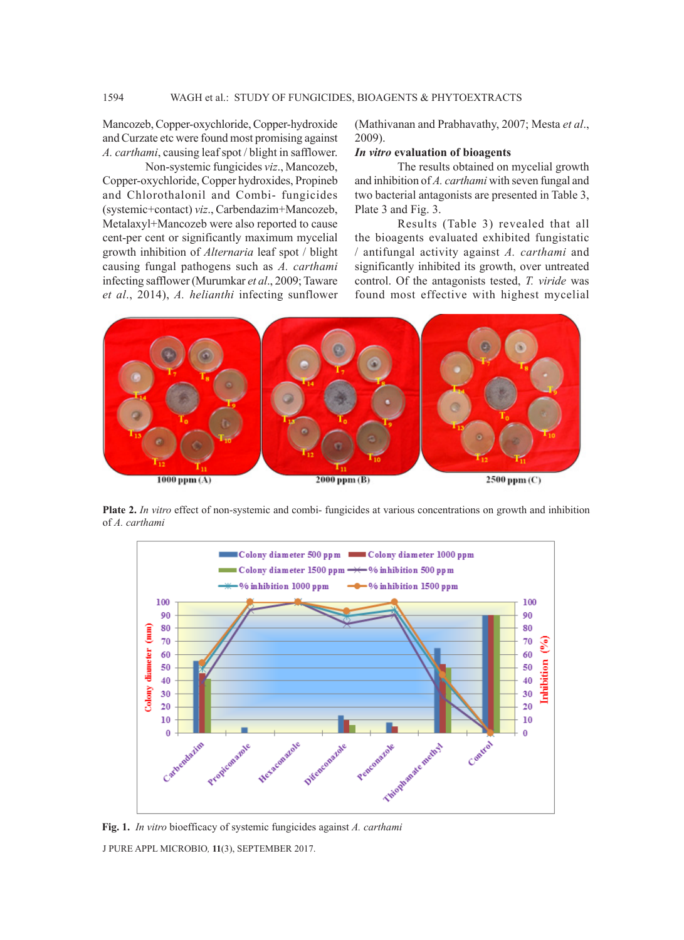Mancozeb, Copper-oxychloride, Copper-hydroxide and Curzate etc were found most promising against *A. carthami*, causing leaf spot / blight in safflower.

Non-systemic fungicides *viz*., Mancozeb, Copper-oxychloride, Copper hydroxides, Propineb and Chlorothalonil and Combi- fungicides (systemic+contact) *viz*., Carbendazim+Mancozeb, Metalaxyl+Mancozeb were also reported to cause cent-per cent or significantly maximum mycelial growth inhibition of *Alternaria* leaf spot / blight causing fungal pathogens such as *A. carthami* infecting safflower (Murumkar *et al*., 2009; Taware *et al*., 2014), *A. helianthi* infecting sunflower

(Mathivanan and Prabhavathy, 2007; Mesta *et al*., 2009).

#### *In vitro* **evaluation of bioagents**

The results obtained on mycelial growth and inhibition of *A. carthami* with seven fungal and two bacterial antagonists are presented in Table 3, Plate 3 and Fig. 3.

Results (Table 3) revealed that all the bioagents evaluated exhibited fungistatic / antifungal activity against *A. carthami* and significantly inhibited its growth, over untreated control. Of the antagonists tested, *T. viride* was found most effective with highest mycelial



**Plate 2.** *In vitro* effect of non-systemic and combi- fungicides at various concentrations on growth and inhibition of *A. carthami* 



J PURE APPL MICROBIO*,* **11**(3), SEPTEMBER 2017. **Fig. 1.** *In vitro* bioefficacy of systemic fungicides against *A. carthami*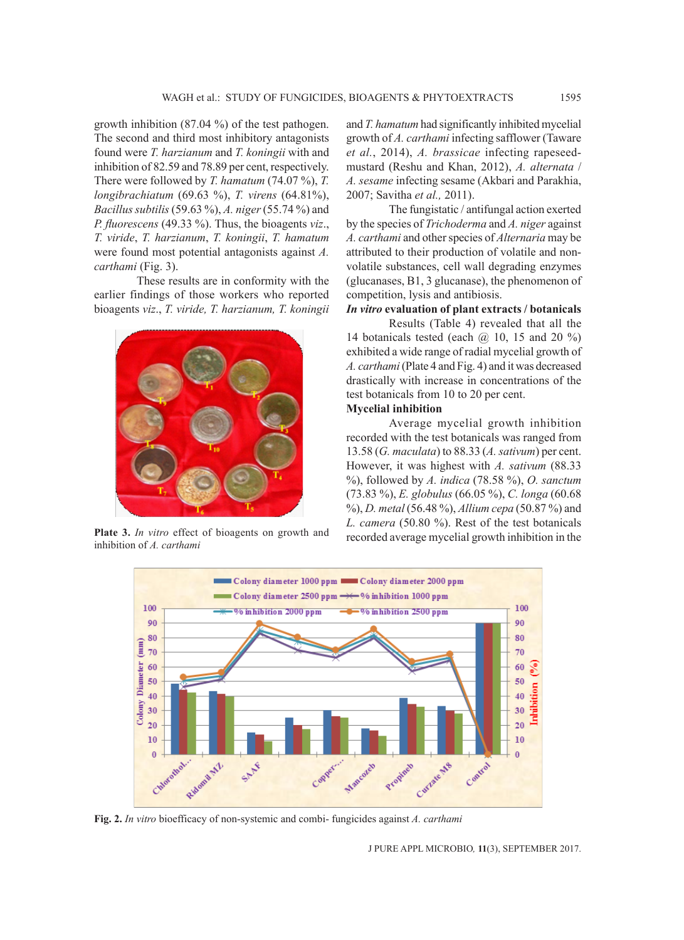growth inhibition (87.04 %) of the test pathogen. The second and third most inhibitory antagonists found were *T. harzianum* and *T. koningii* with and inhibition of 82.59 and 78.89 per cent, respectively. There were followed by *T. hamatum* (74.07 %), *T. longibrachiatum* (69.63 %), *T. virens* (64.81%), *Bacillus subtilis* (59.63 %), *A. niger* (55.74 %) and *P. fluorescens* (49.33 %). Thus, the bioagents *viz*., *T. viride*, *T. harzianum*, *T. koningii*, *T. hamatum*  were found most potential antagonists against *A. carthami* (Fig. 3).

These results are in conformity with the earlier findings of those workers who reported bioagents *viz*., *T. viride, T. harzianum, T. koningii* 



**Plate 3.** *In vitro* effect of bioagents on growth and inhibition of *A. carthami*

and *T. hamatum* had significantly inhibited mycelial growth of *A. carthami* infecting safflower (Taware *et al.*, 2014), *A. brassicae* infecting rapeseedmustard (Reshu and Khan, 2012), *A. alternata* / *A. sesame* infecting sesame (Akbari and Parakhia, 2007; Savitha *et al.,* 2011).

The fungistatic / antifungal action exerted by the species of *Trichoderma* and *A. niger* against *A. carthami* and other species of *Alternaria* may be attributed to their production of volatile and nonvolatile substances, cell wall degrading enzymes (glucanases, B1, 3 glucanase), the phenomenon of competition, lysis and antibiosis.

# *In vitro* **evaluation of plant extracts / botanicals**

Results (Table 4) revealed that all the 14 botanicals tested (each  $\omega$  10, 15 and 20 %) exhibited a wide range of radial mycelial growth of *A. carthami* (Plate 4 and Fig. 4) and it was decreased drastically with increase in concentrations of the test botanicals from 10 to 20 per cent.

# **Mycelial inhibition**

Average mycelial growth inhibition recorded with the test botanicals was ranged from 13.58 (*G. maculata*) to 88.33 (*A. sativum*) per cent. However, it was highest with *A. sativum* (88.33 %), followed by *A. indica* (78.58 %), *O. sanctum* (73.83 %), *E. globulus* (66.05 %), *C. longa* (60.68 %), *D. metal* (56.48 %), *Allium cepa* (50.87 %) and *L. camera* (50.80 %). Rest of the test botanicals recorded average mycelial growth inhibition in the



**Fig. 2.** *In vitro* bioefficacy of non-systemic and combi- fungicides against *A. carthami*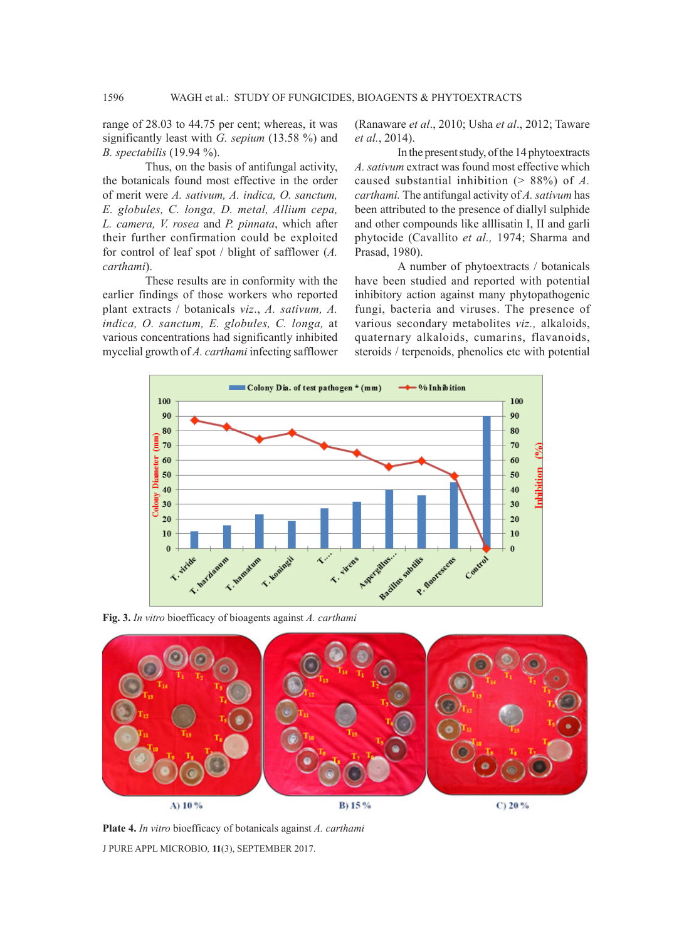range of 28.03 to 44.75 per cent; whereas, it was significantly least with *G. sepium* (13.58 %) and *B. spectabilis* (19.94 %).

Thus, on the basis of antifungal activity, the botanicals found most effective in the order of merit were *A. sativum, A. indica, O. sanctum, E. globules, C. longa, D. metal, Allium cepa, L. camera, V. rosea* and *P. pinnata*, which after their further confirmation could be exploited for control of leaf spot / blight of safflower (*A. carthami*).

These results are in conformity with the earlier findings of those workers who reported plant extracts / botanicals *viz*., *A. sativum, A. indica, O. sanctum, E. globules, C. longa,* at various concentrations had significantly inhibited mycelial growth of *A. carthami* infecting safflower

(Ranaware *et al*., 2010; Usha *et al*., 2012; Taware *et al.*, 2014).

In the present study, of the 14 phytoextracts *A. sativum* extract was found most effective which caused substantial inhibition (> 88%) of *A. carthami.* The antifungal activity of *A. sativum* has been attributed to the presence of diallyl sulphide and other compounds like alllisatin I, II and garli phytocide (Cavallito *et al.,* 1974; Sharma and Prasad, 1980).

A number of phytoextracts / botanicals have been studied and reported with potential inhibitory action against many phytopathogenic fungi, bacteria and viruses. The presence of various secondary metabolites *viz.,* alkaloids, quaternary alkaloids, cumarins, flavanoids, steroids / terpenoids, phenolics etc with potential



**Fig. 3.** *In vitro* bioefficacy of bioagents against *A. carthami*



J PURE APPL MICROBIO*,* **11**(3), SEPTEMBER 2017. **Plate 4.** *In vitro* bioefficacy of botanicals against *A. carthami*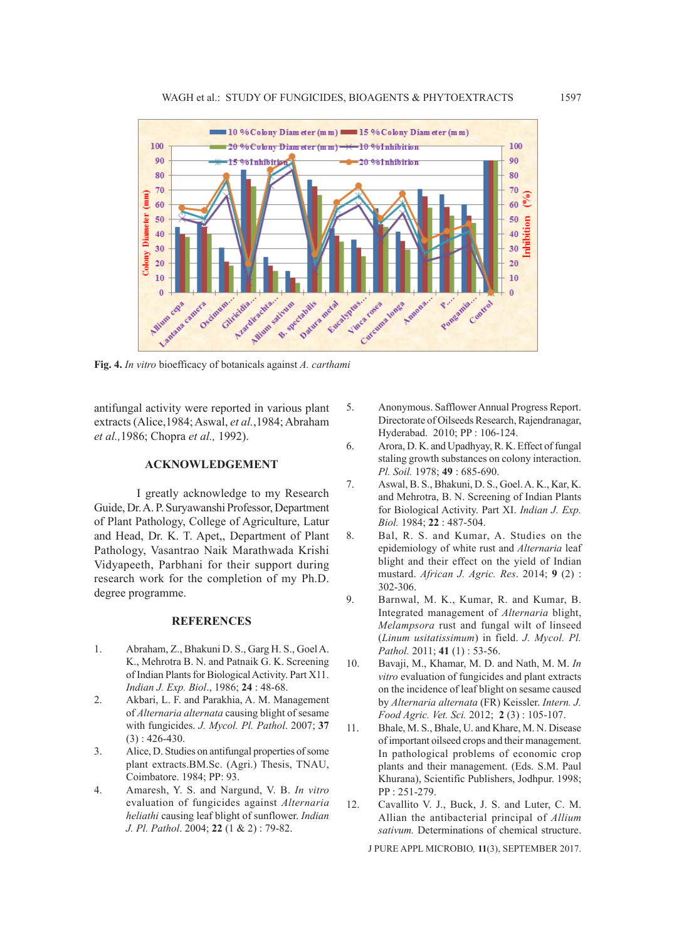

**Fig. 4.** *In vitro* bioefficacy of botanicals against *A. carthami*

antifungal activity were reported in various plant extracts (Alice,1984; Aswal, *et al.*,1984; Abraham *et al.,*1986; Chopra *et al.,* 1992).

## **ACKNOWLEDGEMENT**

I greatly acknowledge to my Research Guide, Dr. A. P. Suryawanshi Professor, Department of Plant Pathology, College of Agriculture, Latur and Head, Dr. K. T. Apet,, Department of Plant Pathology, Vasantrao Naik Marathwada Krishi Vidyapeeth, Parbhani for their support during research work for the completion of my Ph.D. degree programme.

#### **REFERENCES**

- 1. Abraham, Z., Bhakuni D. S., Garg H. S., Goel A. K., Mehrotra B. N. and Patnaik G. K. Screening of Indian Plants for Biological Activity. Part X11. *Indian J. Exp. Biol*., 1986; **24** : 48-68.
- 2. Akbari, L. F. and Parakhia, A. M. Management of *Alternaria alternata* causing blight of sesame with fungicides. *J. Mycol. Pl. Pathol*. 2007; **37** (3) : 426-430.
- 3. Alice, D. Studies on antifungal properties of some plant extracts.BM.Sc. (Agri.) Thesis, TNAU, Coimbatore. 1984; PP: 93.
- 4. Amaresh, Y. S. and Nargund, V. B. *In vitro* evaluation of fungicides against *Alternaria heliathi* causing leaf blight of sunflower. *Indian J. Pl. Pathol*. 2004; **22** (1 & 2) : 79-82.
- 5. Anonymous. Safflower Annual Progress Report. Directorate of Oilseeds Research, Rajendranagar, Hyderabad. 2010; PP : 106-124.
- 6. Arora, D. K. and Upadhyay, R. K. Effect of fungal staling growth substances on colony interaction. *Pl. Soil.* 1978; **49** : 685-690.
- 7. Aswal, B. S., Bhakuni, D. S., Goel. A. K., Kar, K. and Mehrotra, B. N. Screening of Indian Plants for Biological Activity. Part XI. *Indian J. Exp. Biol.* 1984; **22** : 487-504.
- 8. Bal, R. S. and Kumar, A. Studies on the epidemiology of white rust and *Alternaria* leaf blight and their effect on the yield of Indian mustard. *African J. Agric. Res*. 2014; **9** (2) : 302-306.
- 9. Barnwal, M. K., Kumar, R. and Kumar, B. Integrated management of *Alternaria* blight, *Melampsora* rust and fungal wilt of linseed (*Linum usitatissimum*) in field. *J. Mycol. Pl. Pathol.* 2011; **41** (1) : 53-56.
- 10. Bavaji, M., Khamar, M. D. and Nath, M. M. *In vitro* evaluation of fungicides and plant extracts on the incidence of leaf blight on sesame caused by *Alternaria alternata* (FR) Keissler. *Intern. J. Food Agric. Vet. Sci.* 2012; **2** (3) : 105-107.
- 11. Bhale, M. S., Bhale, U. and Khare, M. N. Disease of important oilseed crops and their management. In pathological problems of economic crop plants and their management. (Eds. S.M. Paul Khurana), Scientific Publishers, Jodhpur. 1998; PP : 251-279.
- 12. Cavallito V. J., Buck, J. S. and Luter, C. M. Allian the antibacterial principal of *Allium sativum.* Determinations of chemical structure.